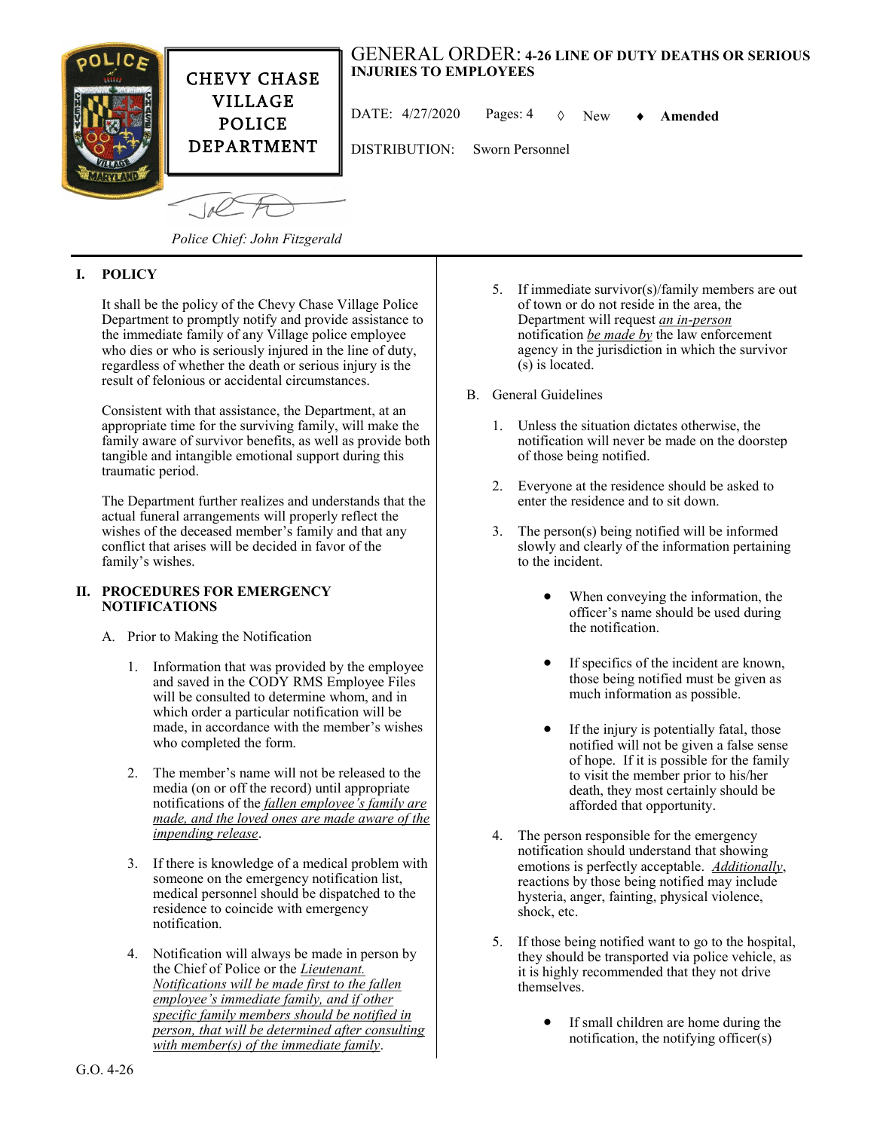

*Police Chief: John Fitzgerald*

## **I. POLICY**

It shall be the policy of the Chevy Chase Village Police Department to promptly notify and provide assistance to the immediate family of any Village police employee who dies or who is seriously injured in the line of duty, regardless of whether the death or serious injury is the result of felonious or accidental circumstances.

Consistent with that assistance, the Department, at an appropriate time for the surviving family, will make the family aware of survivor benefits, as well as provide both tangible and intangible emotional support during this traumatic period.

The Department further realizes and understands that the actual funeral arrangements will properly reflect the wishes of the deceased member's family and that any conflict that arises will be decided in favor of the family's wishes.

## **II. PROCEDURES FOR EMERGENCY NOTIFICATIONS**

- A. Prior to Making the Notification
	- 1. Information that was provided by the employee and saved in the CODY RMS Employee Files will be consulted to determine whom, and in which order a particular notification will be made, in accordance with the member's wishes who completed the form.
	- 2. The member's name will not be released to the media (on or off the record) until appropriate notifications of the *fallen employee's family are made, and the loved ones are made aware of the impending release*.
	- 3. If there is knowledge of a medical problem with someone on the emergency notification list, medical personnel should be dispatched to the residence to coincide with emergency notification.
	- 4. Notification will always be made in person by the Chief of Police or the *Lieutenant. Notifications will be made first to the fallen employee's immediate family, and if other specific family members should be notified in person, that will be determined after consulting with member(s) of the immediate family*.
- 5. If immediate survivor(s)/family members are out of town or do not reside in the area, the Department will request *an in-person* notification *be made by* the law enforcement agency in the jurisdiction in which the survivor (s) is located.
- B. General Guidelines
	- 1. Unless the situation dictates otherwise, the notification will never be made on the doorstep of those being notified.
	- 2. Everyone at the residence should be asked to enter the residence and to sit down.
	- 3. The person(s) being notified will be informed slowly and clearly of the information pertaining to the incident.
		- When conveying the information, the officer's name should be used during the notification.
		- If specifics of the incident are known, those being notified must be given as much information as possible.
		- If the injury is potentially fatal, those notified will not be given a false sense of hope. If it is possible for the family to visit the member prior to his/her death, they most certainly should be afforded that opportunity.
	- 4. The person responsible for the emergency notification should understand that showing emotions is perfectly acceptable. *Additionally*, reactions by those being notified may include hysteria, anger, fainting, physical violence, shock, etc.
	- 5. If those being notified want to go to the hospital, they should be transported via police vehicle, as it is highly recommended that they not drive themselves.
		- If small children are home during the notification, the notifying officer(s)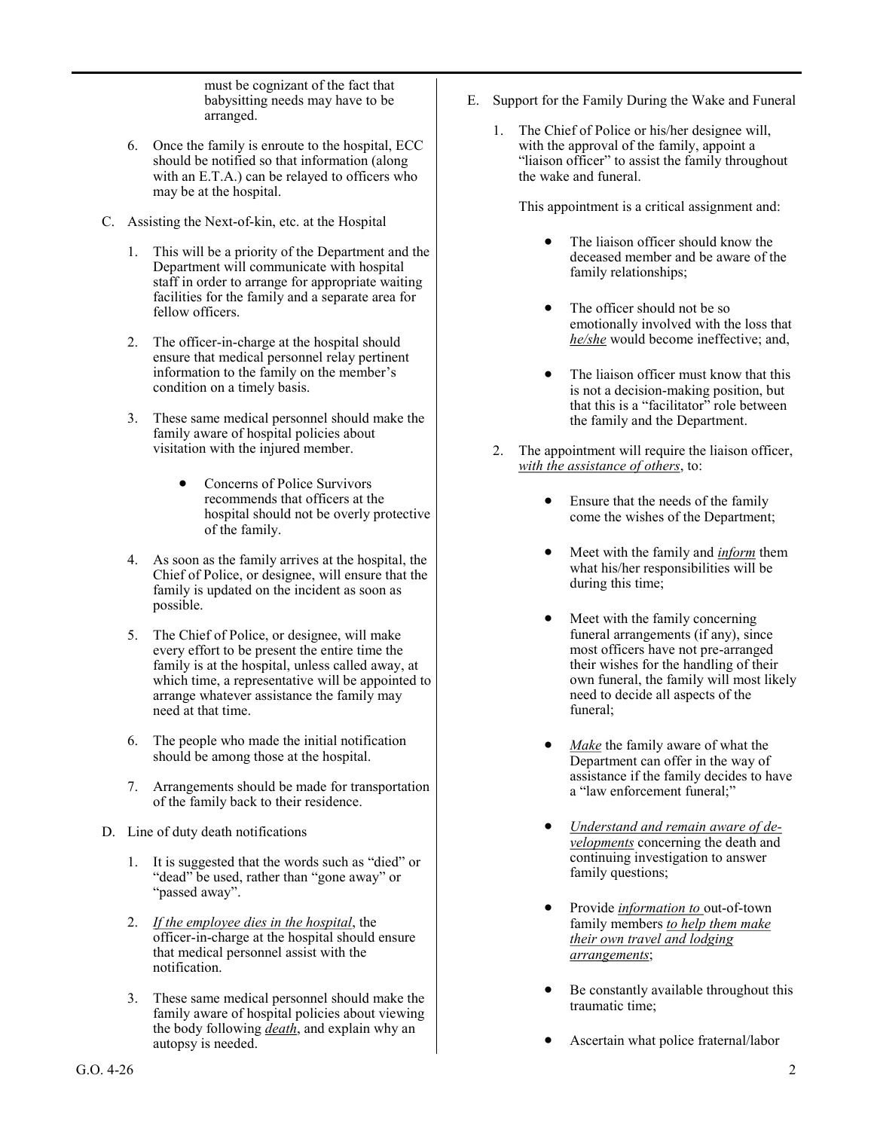must be cognizant of the fact that babysitting needs may have to be arranged.

- 6. Once the family is enroute to the hospital, ECC should be notified so that information (along with an E.T.A.) can be relayed to officers who may be at the hospital.
- C. Assisting the Next-of-kin, etc. at the Hospital
	- 1. This will be a priority of the Department and the Department will communicate with hospital staff in order to arrange for appropriate waiting facilities for the family and a separate area for fellow officers.
	- 2. The officer-in-charge at the hospital should ensure that medical personnel relay pertinent information to the family on the member's condition on a timely basis.
	- 3. These same medical personnel should make the family aware of hospital policies about visitation with the injured member.
		- Concerns of Police Survivors recommends that officers at the hospital should not be overly protective of the family.
	- 4. As soon as the family arrives at the hospital, the Chief of Police, or designee, will ensure that the family is updated on the incident as soon as possible.
	- 5. The Chief of Police, or designee, will make every effort to be present the entire time the family is at the hospital, unless called away, at which time, a representative will be appointed to arrange whatever assistance the family may need at that time.
	- 6. The people who made the initial notification should be among those at the hospital.
	- 7. Arrangements should be made for transportation of the family back to their residence.
- D. Line of duty death notifications
	- 1. It is suggested that the words such as "died" or "dead" be used, rather than "gone away" or "passed away".
	- 2. *If the employee dies in the hospital*, the officer-in-charge at the hospital should ensure that medical personnel assist with the notification.
	- 3. These same medical personnel should make the family aware of hospital policies about viewing the body following *death*, and explain why an autopsy is needed.
- E. Support for the Family During the Wake and Funeral
	- 1. The Chief of Police or his/her designee will, with the approval of the family, appoint a "liaison officer" to assist the family throughout the wake and funeral.

This appointment is a critical assignment and:

- The liaison officer should know the deceased member and be aware of the family relationships;
- The officer should not be so emotionally involved with the loss that *he/she* would become ineffective; and,
- The liaison officer must know that this is not a decision-making position, but that this is a "facilitator" role between the family and the Department.
- 2. The appointment will require the liaison officer, *with the assistance of others*, to:
	- Ensure that the needs of the family come the wishes of the Department;
	- Meet with the family and *inform* them what his/her responsibilities will be during this time;
	- Meet with the family concerning funeral arrangements (if any), since most officers have not pre-arranged their wishes for the handling of their own funeral, the family will most likely need to decide all aspects of the funeral;
	- Make the family aware of what the Department can offer in the way of assistance if the family decides to have a "law enforcement funeral;"
	- *Understand and remain aware of developments* concerning the death and continuing investigation to answer family questions;
	- Provide *information to* out-of-town family members *to help them make their own travel and lodging arrangements*;
	- Be constantly available throughout this traumatic time;
	- Ascertain what police fraternal/labor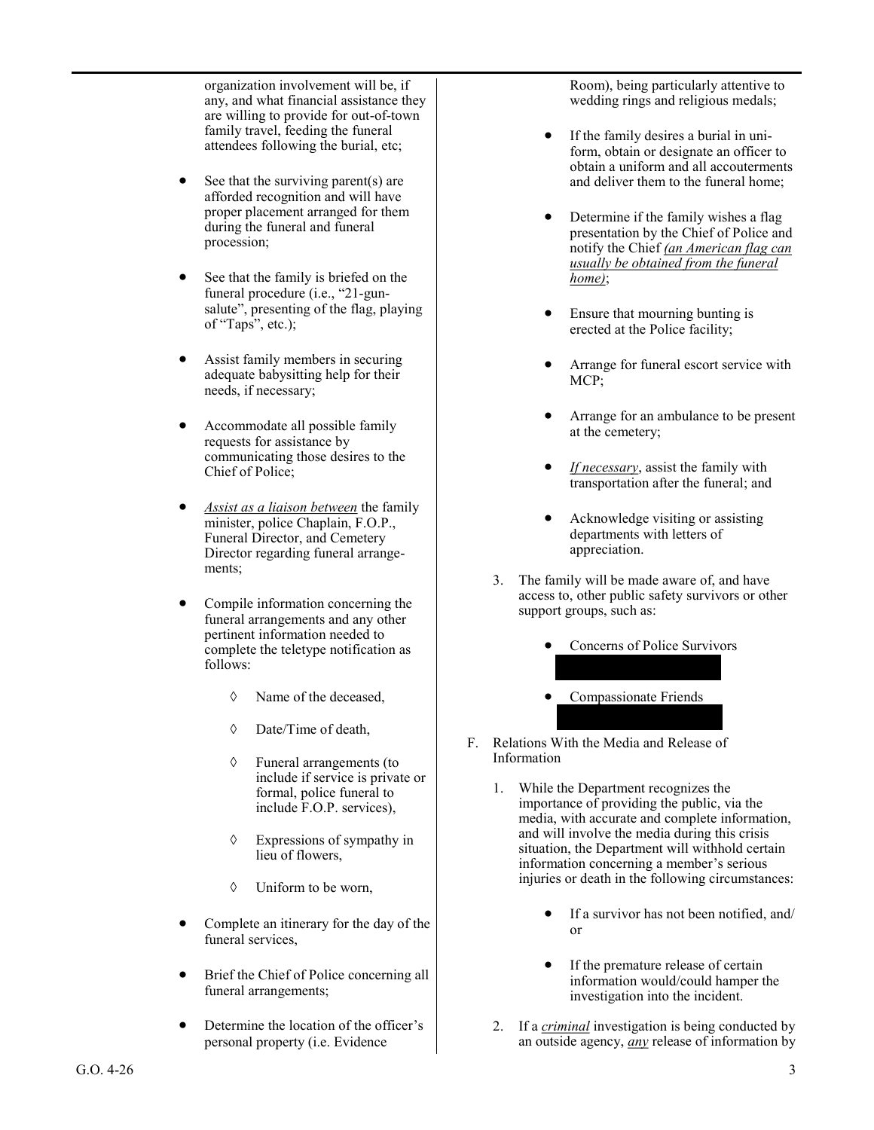organization involvement will be, if any, and what financial assistance they are willing to provide for out-of-town family travel, feeding the funeral attendees following the burial, etc;

- See that the surviving parent(s) are afforded recognition and will have proper placement arranged for them during the funeral and funeral procession;
- See that the family is briefed on the funeral procedure (i.e., "21-gunsalute", presenting of the flag, playing of "Taps", etc.);
- Assist family members in securing adequate babysitting help for their needs, if necessary;
- Accommodate all possible family requests for assistance by communicating those desires to the Chief of Police;
- *Assist as a liaison between* the family minister, police Chaplain, F.O.P., Funeral Director, and Cemetery Director regarding funeral arrangements;
- Compile information concerning the funeral arrangements and any other pertinent information needed to complete the teletype notification as follows:
	- $\Diamond$  Name of the deceased.
	- Date/Time of death,
	- Funeral arrangements (to include if service is private or formal, police funeral to include F.O.P. services),
	- Expressions of sympathy in lieu of flowers,
	- Uniform to be worn,
- Complete an itinerary for the day of the funeral services,
- Brief the Chief of Police concerning all funeral arrangements;
- Determine the location of the officer's personal property (i.e. Evidence

Room), being particularly attentive to wedding rings and religious medals;

- If the family desires a burial in uniform, obtain or designate an officer to obtain a uniform and all accouterments and deliver them to the funeral home;
- Determine if the family wishes a flag presentation by the Chief of Police and notify the Chief *(an American flag can usually be obtained from the funeral home)*;
- Ensure that mourning bunting is erected at the Police facility;
- Arrange for funeral escort service with MCP;
- Arrange for an ambulance to be present at the cemetery;
- *If necessary*, assist the family with transportation after the funeral; and
- Acknowledge visiting or assisting departments with letters of appreciation.
- 3. The family will be made aware of, and have access to, other public safety survivors or other support groups, such as:
	- Concerns of Police Survivors
	- Compassionate Friends
- F. Relations With the Media and Release of Information
	- 1. While the Department recognizes the importance of providing the public, via the media, with accurate and complete information, and will involve the media during this crisis situation, the Department will withhold certain information concerning a member's serious injuries or death in the following circumstances:
		- If a survivor has not been notified, and/ or
		- If the premature release of certain information would/could hamper the investigation into the incident.
	- 2. If a *criminal* investigation is being conducted by an outside agency, *any* release of information by